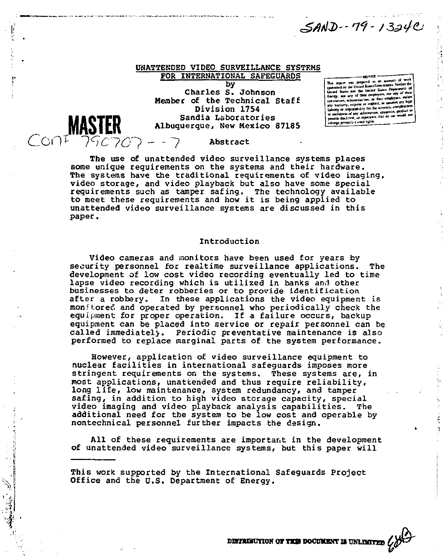SAND-79-1324C

# UNATTENDED VIDEO SURVEILLANCE SYSTEMS FOR INTERNATIONAL SAFEGUARDS

by Charles S. Johnson Member of the Technical Staff Division 1754 Sandia Laboratories Albuquerque, New Mexico 8718S This separa was prepared as an a *Uo-tti* **Sunt «" «** 



ý,

The use of unattended video surveillance systems places some unique requirements on the systems and their hardware. The systems have the traditional requirements of video imaging, video storage, and video playback but also have some special requirements such as tamper safing. The technology available to meet these requirements and how it is being applied to unattended video surveillance systems are discussed in this paper.

## Introduction

Video cameras and monitors have been used for years by security personnel for realtime surveillance applications. The development of low cost video recording eventually led to time lapse video recording which is utilized in banks anil other businesses to deter robberies or to provide identification after a robbery. In these applications the video equipment is monitored and operated by personnel who periodically check the equipment for proper operation. If a failure occurs, backup equipment can be placed into service or repair personnel can be called immediately. Periodic preventative maintenance is also performed to replace marginal parts of the system performance.

However, application of video surveillance equipment to nuclear facilities in international safeguards imposes more stringent requirements on the systems. These systems are, in most applications, unattended and thus require reliability, long life, low maintenance, system redundancy, and tamper safing, in addition to high video storage capacity, special video imaging and video playback analysis capabilities. The additional need for the system to be low cost and operable by nontechnical personnel further impacts the design.

All of these requirements are important in the development of unattended video surveillance systems, but this paper will

This work supported by the International Safeguards Project Office and the U.S. Department of Energy.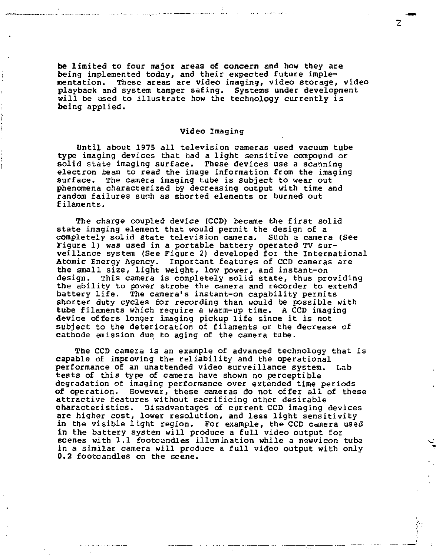be limited to four major areas of concern and how they are being implemented today, and their expected future implementation. These areas are video imaging, video storage, video playback and system tamper safing. Systems under development will be used to illustrate how the technology currently is being applied.

#### Video Imaging

Until about 1975 all television cameras used vacuum tube type imaging devices that had a light sensitive compound or solid state imaging surface. These devices use a scanning electron beam to read the image information from the imaging surface. The camera imaging tube is subject to wear out phenomena characterized by decreasing output with time and random failures such as shorted elements or burned out filaments.

The charge coupled device (CCD) became the first solid state imaging element that would permit the design of a completely solid state television camera. Such a camera (See Figure 1) was used in a portable battery operated TV surveillance system (See Figure 2) developed for the International Atomic Energy Agency. Important features of CCD cameras are the small size, light weight, low power, and instant-on design. This camera is completely solid state, thus providing the ability to power strobe the camera and recorder to extend battery life. The camera's instant-on capability permits shorter duty cycles for recording than would be possible with tube filaments which require a warm-up time. A CCD imaging device offers longer imaging pickup life since it is not subject to the deterioration of filaments or the decrease of cathode emission due to aging of the camera tube.

The CCD camera is an example of advanced technology that is capable of improving the reliability and the operational performance of an unattended video surveillance system. Lab tests of this type of camera have shown no perceptible degradation of imaging performance over extended time periods of operation. However, these cameras do not offer all of these attractive features without sacrificing other desirable characteristics. Disadvantages of current CCD imaging devices are higher cost, lower resolution, and less light sensitivity in the visible light region. For example, the CCD camera used in the battery system will produce a full video output for scenes with 1.1 footcandles illumination while a newvicon tube in a similar camera will produce a full video output with only 0.2 footcandles on the scene.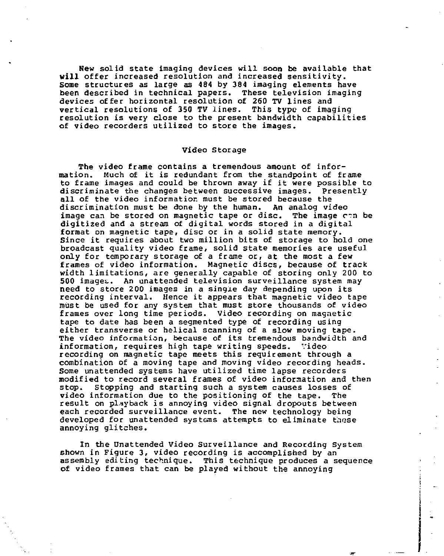**New** solid state imaging devices will soon be available that **will** offer increased resolution and increased sensitivity. Some structures as large as 484 by 384 imaging elements have been described in technical papers. These television imaging devices offer horizontal resolution of 260 TV lines and vertical resolutions of 350 TV lines. This type of imaging resolution is very close to the present bandwidth capabilities of video recorders utilized to store the images.

#### Video Storage

The video frame contains a tremendous amount of information. Much of it is redundant from the standpoint of frame to frame images and could be thrown away if it were possible to discriminate the changes between successive images. Presently all of the video information must be stored because the discrimination must be done by the human. An analog video image can be stored on magnetic tape or disc. The image con be digitized and a stream of digital words stored in a digital format on magnetic tape, disc or in a solid state memory. Since it requires about two million bits of storage to hold one broadcast quality video frame, solid state memories are useful only for temporary storage of a frame or, at the most a few frames of video information. Magnetic discs, because of track width limitations, are generally capable of storing only 200 to 500 images.. An unattended television surveillance system may need to store 200 images in a single day depending upon its recording interval. Hence it appears that magnetic video tape must be used for any system that must store thousands of video frames over long time periods. Video recording on magnetic tape to date has been a segmented type of recording using either transverse or helical scanning of a slow moving tape. The video information, because of its tremendous bandwidth and information, requires high tape writing speeds. Video recording on magnetic tape meets this requirement through a combination of a moving tape and moving video recording heads. Some unattended systems have utilized time lapse recorders modified to record several frames of video information and then stop, stopping and starting such a system causes losses of video information due to the positioning of the tape. The result on playback is annoying video signal dropouts between each recorded surveillance event. The new technology being developed for unattended systems attempts to eliminate tnese annoying glitches.

In the Unattended Video Surveillance and Recording System shown in Figure 3, video recording is accomplished by an assembly editing technique. This technique produces a sequence of video frames that can be played without the annoying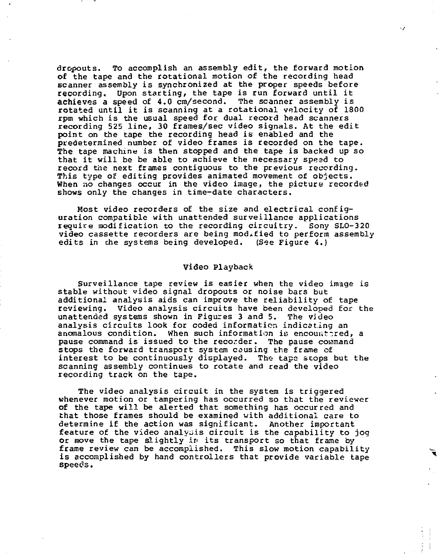dropouts. To accomplish an assembly edit, the forward motion of the tape and the rotational motion of the recording head scanner assembly is synchronized at the proper speeds before recording. Upon starting, the tape is run forward until it achieves a speed of 4.0 cm/second. The scanner assembly is rotated until it is scanning at a rotational velocity of 1800 rpm which is the usual speed for dual record head scanners recording 525 line, 30 frames/sec video signals. At the edit point on the tape the recording head is enabled and the predetermined number of video frames is recorded on the tape. The tape machine is then stopped and the tape is backed up so that it will be be able to achieve the necessary speed to record the next frames contiguous to the previous recording. This type of editing provides animated movement of objects. When no changes occur in the video image, the picture recorded shows only the changes in time-date characters.

 $\cdot$ 

Most video recorders of the size and electrical configuration compatible with unattended surveillance applications require modification to the recording circuitry. Sony SLO-320 video cassette recorders are being modified to perform assembly edits in che systems being developed. (See Figure 4.)

### Video Playback

Surveillance tape review is easier when the video image is stable without video signal dropouts or noise bars but additional analysis aids can improve the reliability of tape reviewing. Video analysis circuits have been developed for the unattended systems shown in Figures 3 and 5. The video analysis circuits look for coded information indicating an anomalous condition. When such information is encountered, a pause command is issued to the recorder. The pause command stops the forward transport system causing the frame of interest to be continuously displayed. The tape stops but the scanning assembly continues to rotate and read the video recording track on the tape.

The video analysis circuit in the system is triggered whenever motion or tampering has occurred so that the reviewer of the tape will be alerted that something has occurred and that those frames should be examined with additional care to determine if the action was significant. Another important feature of the video analysis circuit is the capability to jog or move the tape slightly in its transport so that frame by frame review can be accomplished. This slow motion capability is accomplished by hand controllers that provide variable tape speeos.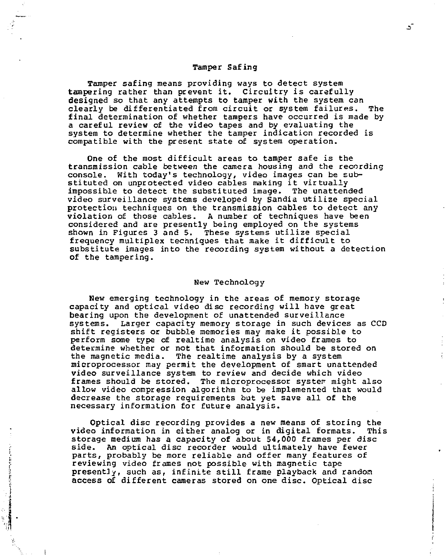### Tamper Safing

Tamper safing means providing ways to detect system tampering rather than prevent it. Circuitry is carefully designed so that any attempts to tamper with the system can<br>clearly be differentiated from circuit or system failures. The clearly be differentiated from circuit or system failures. final determination of whether tampers have occurred is made by a careful review of the video tapes and by evaluating the system to determine whether the tamper indication recorded is compatible with the present state of system operation.

One of the most difficult areas to tamper safe is the transmission cable between the camera housing and the recording console. With today's technology, video images can be substituted on unprotected video cables making it virtually impossible to detect the substituted image. The unattended video surveillance systems developed by Sandia utilize special protection techniques on the transmission cables to detect any violation of those cables. A number of techniques have been considered and are presently being employed on the systems shown in Figures 3 and 5. These systems utilize special frequency multiplex techniques that make it difficult to substitute images into the recording system without a detection of the tampering.

#### New Technology

New emerging technology in the areas of memory storage capacity and optical video disc recording will have great bearing upon the development of unattended surveillance systems. Larger capacity memory storage in such devices as CCD shift registers or bubble memories may make it possible to perform some type of realtime analysis on video frames to determine whether or not that information should be stored on the magnetic media. The realtime analysis by a system microprocessor may permit the development of smart unattended video surveillance system to review and decide which video frames should be stored. The microprocessor system might also allow video compression algorithm to be implemented that would decrease the storage requirements but yet save all of the necessary information for future analysis.

Optical disc recording provides a new means of storing the video information in either analog or in digital formats. storage medium has a capacity of about 54,000 frames per disc side. An optical disc recorder would ultimately have fewer parts, probably be more reliable and offer many features of reviewing video frames not possible with magnetic tape presently, such as, infinite still frame playback and random access of different cameras stored on one disc. Optical disc

- ک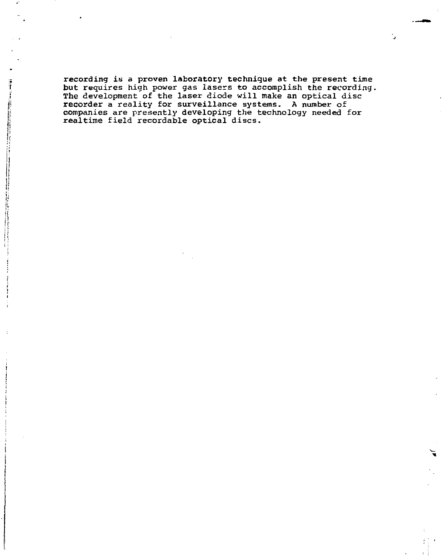recording is a proven laboratory technique at the present time<br>but requires high power gas lasers to accomplish the recording.<br>The development of the laser diode will make an optical disc<br>recorder a reality for surveillanc

i; !

**I**  |

i **j** 

**CONTRACT**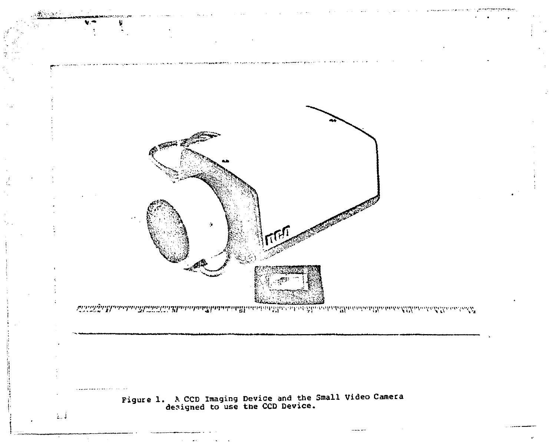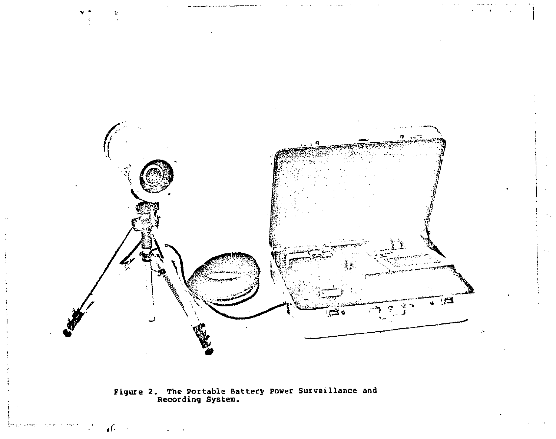

**Figure 2. The Portable Battery Power Surveillance and Recording System.** 

*J-*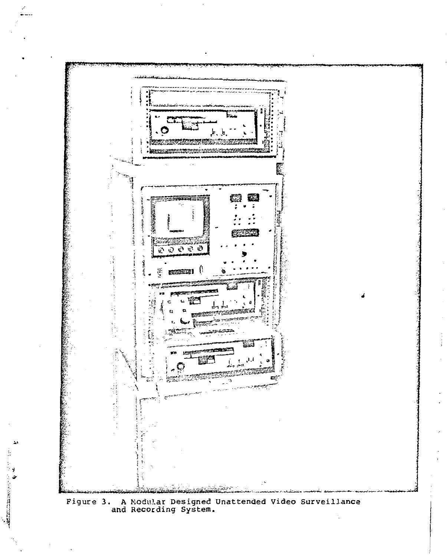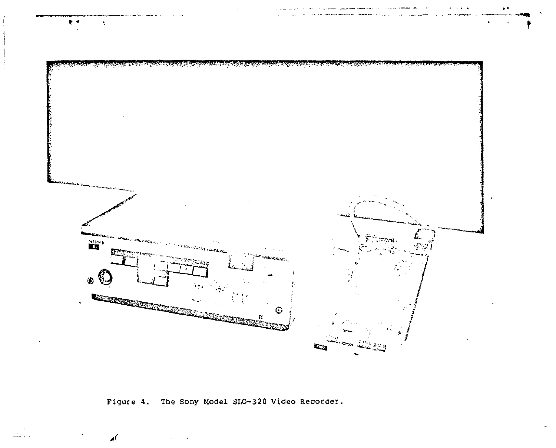

 $\sim$ 

Figure 4. The Sony Model SLO-320 Video Recorder.

أله

 $\sim$   $\sim$